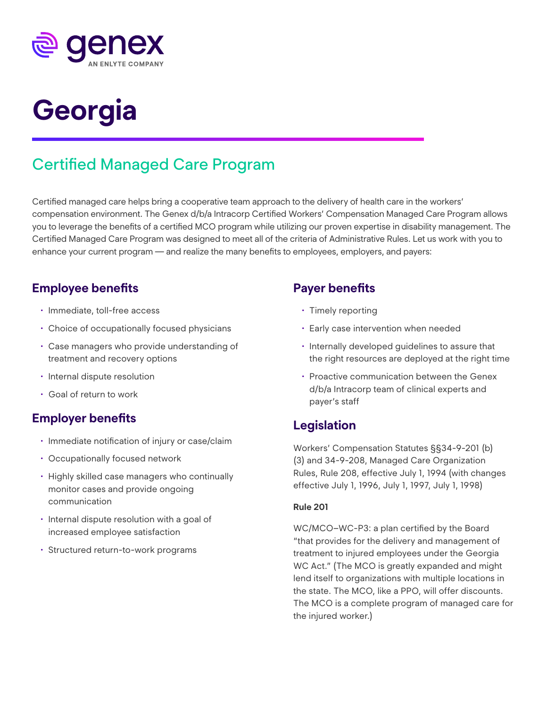

# **Georgia**

## Certified Managed Care Program

Certified managed care helps bring a cooperative team approach to the delivery of health care in the workers' compensation environment. The Genex d/b/a Intracorp Certified Workers' Compensation Managed Care Program allows you to leverage the benefits of a certified MCO program while utilizing our proven expertise in disability management. The Certified Managed Care Program was designed to meet all of the criteria of Administrative Rules. Let us work with you to enhance your current program — and realize the many benefits to employees, employers, and payers:

## **Employee benefits**

- Immediate, toll-free access
- Choice of occupationally focused physicians
- Case managers who provide understanding of treatment and recovery options
- Internal dispute resolution
- Goal of return to work

## **Employer benefits**

- Immediate notification of injury or case/claim
- Occupationally focused network
- Highly skilled case managers who continually monitor cases and provide ongoing communication
- Internal dispute resolution with a goal of increased employee satisfaction
- Structured return-to-work programs

## **Payer benefits**

- Timely reporting
- Early case intervention when needed
- Internally developed guidelines to assure that the right resources are deployed at the right time
- Proactive communication between the Genex d/b/a Intracorp team of clinical experts and payer's staff

## **Legislation**

Workers' Compensation Statutes §§34-9-201 (b) (3) and 34-9-208, Managed Care Organization Rules, Rule 208, effective July 1, 1994 (with changes effective July 1, 1996, July 1, 1997, July 1, 1998)

#### **Rule 201**

WC/MCO–WC-P3: a plan certified by the Board "that provides for the delivery and management of treatment to injured employees under the Georgia WC Act." (The MCO is greatly expanded and might lend itself to organizations with multiple locations in the state. The MCO, like a PPO, will offer discounts. The MCO is a complete program of managed care for the injured worker.)